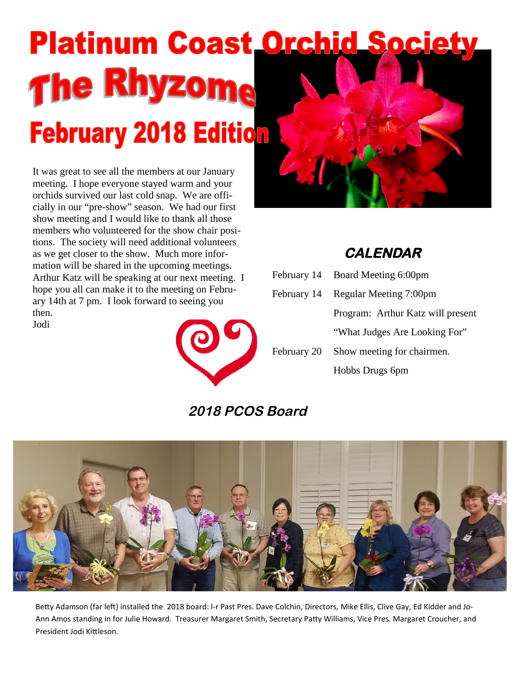# **Platinum Coast Orchid Society** The Rhyzoma **February 2018 Edition**

It was great to see all the members at our January meeting. I hope everyone stayed warm and your orchids survived our last cold snap. We are officially in our "pre-show" season. We had our first show meeting and I would like to thank all those members who volunteered for the show chair positions. The society will need additional volunteers as we get closer to the show. Much more information will be shared in the upcoming meetings. Arthur Katz will be speaking at our next meeting. I hope you all can make it to the meeting on February 14th at 7 pm. I look forward to seeing you then. Jodi



## **CALENDAR**

February 14 Board Meeting 6:00pm February 14 Regular Meeting 7:00pm Program: Arthur Katz will present "What Judges Are Looking For" February 20 Show meeting for chairmen. Hobbs Drugs 6pm

## **2018 PCOS Board**



Betty Adamson (far left) installed the 2018 board: I-r Past Pres. Dave Colchin, Directors, Mike Ellis, Clive Gay, Ed Kidder and Jo-Ann Amos standing in for Julie Howard. Treasurer Margaret Smith, Secretary Patty Williams, Vice Pres. Margaret Croucher, and President Jodi Kittleson.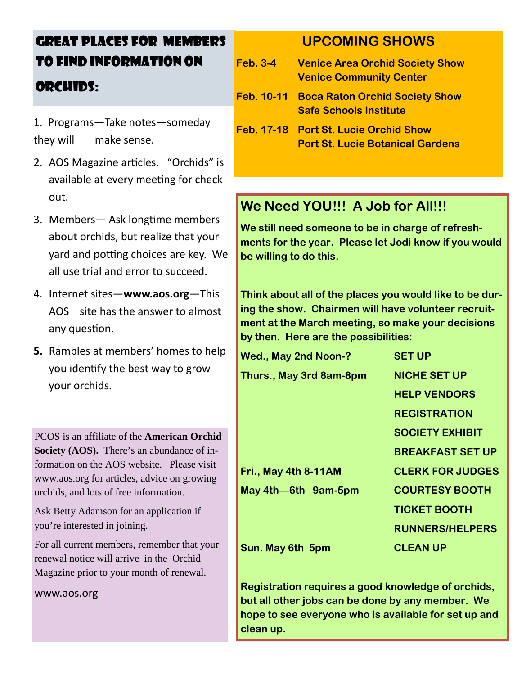## GREAT PLACES FOR MEMBERS TO FIND INFORMATION ON ORCHIDS:

- 1. Programs—Take notes—someday they will make sense.
- 2. AOS Magazine articles. "Orchids" is available at every meeting for check out.
- 3. Members— Ask longtime members about orchids, but realize that your yard and potting choices are key. We all use trial and error to succeed.
- 4. Internet sites—**www.aos.org**—This AOS site has the answer to almost any question.
- **5.** Rambles at members' homes to help you identify the best way to grow your orchids.

PCOS is an affiliate of the **American Orchid Society (AOS).** There's an abundance of information on the AOS website. Please visit www.aos.org for articles, advice on growing orchids, and lots of free information.

Ask Betty Adamson for an application if you're interested in joining.

For all current members, remember that your renewal notice will arrive in the Orchid Magazine prior to your month of renewal.

www.aos.org

## **UPCOMING SHOWS**

- **Feb. 3-4 Venice Area Orchid Society Show Venice Community Center**
- **Feb. 10-11 Boca Raton Orchid Society Show Safe Schools Institute**
- **Feb. 17-18 Port St. Lucie Orchid Show Port St. Lucie Botanical Gardens**

## **We Need YOU!!! A Job for All!!!**

**We still need someone to be in charge of refreshments for the year. Please let Jodi know if you would be willing to do this.**

**Think about all of the places you would like to be during the show. Chairmen will have volunteer recruitment at the March meeting, so make your decisions by then. Here are the possibilities:**

| <b>Wed., May 2nd Noon-?</b> | <b>SET UP</b>           |
|-----------------------------|-------------------------|
| Thurs., May 3rd 8am-8pm     | <b>NICHE SET UP</b>     |
|                             | <b>HELP VENDORS</b>     |
|                             | <b>REGISTRATION</b>     |
|                             | <b>SOCIETY EXHIBIT</b>  |
|                             | <b>BREAKFAST SET UP</b> |
| Fri., May 4th 8-11AM        | <b>CLERK FOR JUDGES</b> |
| May 4th-6th 9am-5pm         | <b>COURTESY BOOTH</b>   |
|                             | <b>TICKET BOOTH</b>     |
|                             | <b>RUNNERS/HELPERS</b>  |
| Sun. May 6th 5pm            | <b>CLEAN UP</b>         |

**Registration requires a good knowledge of orchids, but all other jobs can be done by any member. We hope to see everyone who is available for set up and clean up.**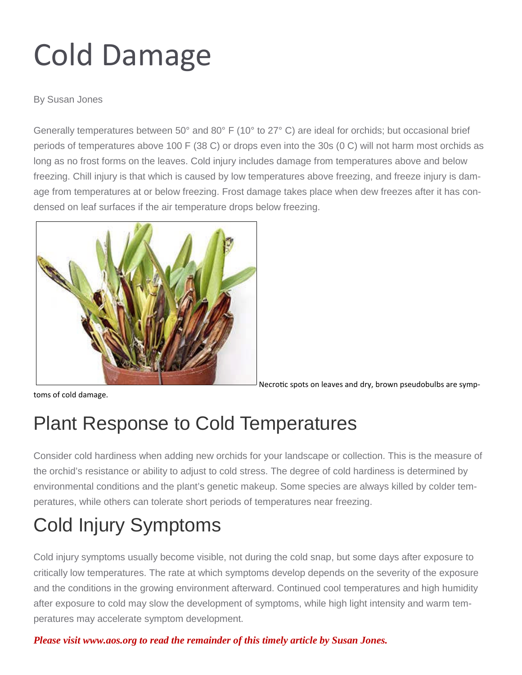## Cold Damage

By Susan Jones

Generally temperatures between 50° and 80° F (10° to 27° C) are ideal for orchids; but occasional brief periods of temperatures above 100 F (38 C) or drops even into the 30s (0 C) will not harm most orchids as long as no frost forms on the leaves. Cold injury includes damage from temperatures above and below freezing. Chill injury is that which is caused by low temperatures above freezing, and freeze injury is damage from temperatures at or below freezing. Frost damage takes place when dew freezes after it has condensed on leaf surfaces if the air temperature drops below freezing.



toms of cold damage.

Necrotic spots on leaves and dry, brown pseudobulbs are symp-

## Plant Response to Cold Temperatures

Consider cold hardiness when adding new orchids for your landscape or collection. This is the measure of the orchid's resistance or ability to adjust to cold stress. The degree of cold hardiness is determined by environmental conditions and the plant's genetic makeup. Some species are always killed by colder temperatures, while others can tolerate short periods of temperatures near freezing.

## Cold Injury Symptoms

Cold injury symptoms usually become visible, not during the cold snap, but some days after exposure to critically low temperatures. The rate at which symptoms develop depends on the severity of the exposure and the conditions in the growing environment afterward. Continued cool temperatures and high humidity after exposure to cold may slow the development of symptoms, while high light intensity and warm temperatures may accelerate symptom development.

*Please visit www.aos.org to read the remainder of this timely article by Susan Jones.*